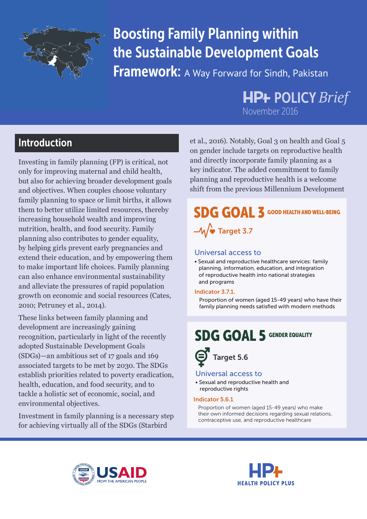

# Boosting Family Planning within the Sustainable Development Goals

**Framework:** A Way Forward for Sindh, Pakistan

# **HP+ POLICY Brief** November 2016

# Introduction

Investing in family planning (FP) is critical, not only for improving maternal and child health, but also for achieving broader development goals and objectives. When couples choose voluntary family planning to space or limit births, it allows them to better utilize limited resources, thereby increasing household wealth and improving nutrition, health, and food security. Family planning also contributes to gender equality, by helping girls prevent early pregnancies and extend their education, and by empowering them to make important life choices. Family planning can also enhance environmental sustainability and alleviate the pressures of rapid population growth on economic and social resources (Cates, 2010; Petruney et al., 2014).

These links between family planning and development are increasingly gaining recognition, particularly in light of the recently adopted Sustainable Development Goals (SDGs)—an ambitious set of 17 goals and 169 associated targets to be met by 2030. The SDGs establish priorities related to poverty eradication, health, education, and food security, and to tackle a holistic set of economic, social, and environmental objectives.

Investment in family planning is a necessary step for achieving virtually all of the SDGs (Starbird

et al., 2016). Notably, Goal 3 on health and Goal 5 on gender include targets on reproductive health and directly incorporate family planning as a key indicator. The added commitment to family planning and reproductive health is a welcome shift from the previous Millennium Development

# SDG GOAL 3 GOOD HEALTH AND WELL-BEING  $-M$  Target 3.7

### Universal access to

• Sexual and reproductive healthcare services: family planning, information, education, and integration of reproductive health into national strategies and programs

#### Indicator 3.7.1.

 Proportion of women (aged 15-49 years) who have their family planning needs satisfied with modern methods

# SDG GOAL 5 GENDER EQUALITY

Target 5.6

#### Universal access to

• Sexual and reproductive health and reproductive rights

#### Indicator 5.6.1

 Proportion of women (aged 15-49 years) who make their own informed decisions regarding sexual relations, contraceptive use, and reproductive healthcare



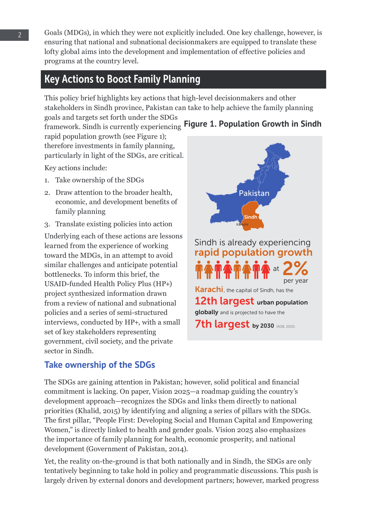Goals (MDGs), in which they were not explicitly included. One key challenge, however, is ensuring that national and subnational decisionmakers are equipped to translate these lofty global aims into the development and implementation of effective policies and programs at the country level.

# Key Actions to Boost Family Planning

This policy brief highlights key actions that high-level decisionmakers and other stakeholders in Sindh province, Pakistan can take to help achieve the family planning goals and targets set forth under the SDGs

framework. Sindh is currently experiencing **Figure 1. Population Growth in Sindh**  rapid population growth (see Figure 1); therefore investments in family planning, particularly in light of the SDGs, are critical.

Key actions include:

- 1. Take ownership of the SDGs
- 2. Draw attention to the broader health, economic, and development benefits of family planning
- 3. Translate existing policies into action

Underlying each of these actions are lessons learned from the experience of working toward the MDGs, in an attempt to avoid similar challenges and anticipate potential bottlenecks. To inform this brief, the USAID-funded Health Policy Plus (HP+) project synthesized information drawn from a review of national and subnational policies and a series of semi-structured interviews, conducted by HP+, with a small set of key stakeholders representing government, civil society, and the private sector in Sindh.



## **Take ownership of the SDGs**

The SDGs are gaining attention in Pakistan; however, solid political and financial commitment is lacking. On paper, Vision 2025—a roadmap guiding the country's development approach—recognizes the SDGs and links them directly to national priorities (Khalid, 2015) by identifying and aligning a series of pillars with the SDGs. The first pillar, "People First: Developing Social and Human Capital and Empowering Women," is directly linked to health and gender goals. Vision 2025 also emphasizes the importance of family planning for health, economic prosperity, and national development (Government of Pakistan, 2014).

Yet, the reality on-the-ground is that both nationally and in Sindh, the SDGs are only tentatively beginning to take hold in policy and programmatic discussions. This push is largely driven by external donors and development partners; however, marked progress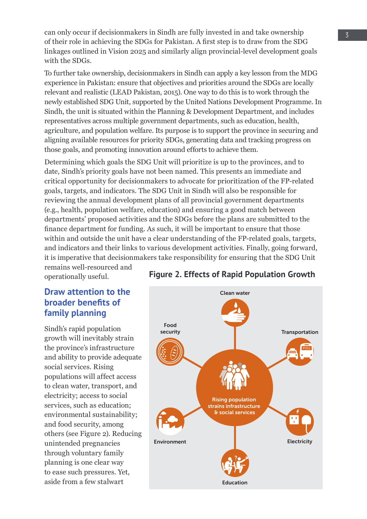can only occur if decisionmakers in Sindh are fully invested in and take ownership of their role in achieving the SDGs for Pakistan. A first step is to draw from the SDG linkages outlined in Vision 2025 and similarly align provincial-level development goals with the SDGs.

To further take ownership, decisionmakers in Sindh can apply a key lesson from the MDG experience in Pakistan: ensure that objectives and priorities around the SDGs are locally relevant and realistic (LEAD Pakistan, 2015). One way to do this is to work through the newly established SDG Unit, supported by the United Nations Development Programme. In Sindh, the unit is situated within the Planning & Development Department, and includes representatives across multiple government departments, such as education, health, agriculture, and population welfare. Its purpose is to support the province in securing and aligning available resources for priority SDGs, generating data and tracking progress on those goals, and promoting innovation around efforts to achieve them.

Determining which goals the SDG Unit will prioritize is up to the provinces, and to date, Sindh's priority goals have not been named. This presents an immediate and critical opportunity for decisionmakers to advocate for prioritization of the FP-related goals, targets, and indicators. The SDG Unit in Sindh will also be responsible for reviewing the annual development plans of all provincial government departments (e.g., health, population welfare, education) and ensuring a good match between departments' proposed activities and the SDGs before the plans are submitted to the finance department for funding. As such, it will be important to ensure that those within and outside the unit have a clear understanding of the FP-related goals, targets, and indicators and their links to various development activities. Finally, going forward, it is imperative that decisionmakers take responsibility for ensuring that the SDG Unit remains well-resourced and

operationally useful.

## **Draw attention to the broader benefits of family planning**

Sindh's rapid population growth will inevitably strain the province's infrastructure and ability to provide adequate social services. Rising populations will affect access to clean water, transport, and electricity; access to social services, such as education; environmental sustainability; and food security, among others (see Figure 2). Reducing unintended pregnancies through voluntary family planning is one clear way to ease such pressures. Yet, aside from a few stalwart



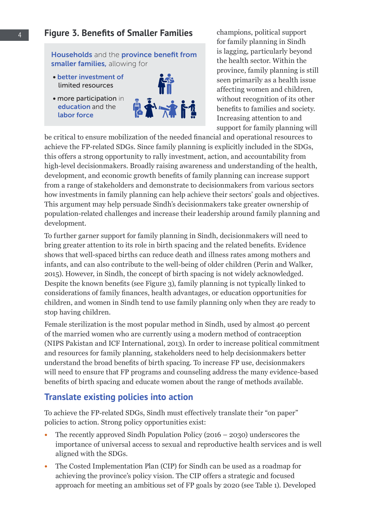### 4 **Figure 3. Benefits of Smaller Families**

Households and the province benefit from smaller families, allowing for

- better investment of limited resources
- more participation in education and the labor force



champions, political support for family planning in Sindh is lagging, particularly beyond the health sector. Within the province, family planning is still seen primarily as a health issue affecting women and children, without recognition of its other benefits to families and society. Increasing attention to and support for family planning will

be critical to ensure mobilization of the needed financial and operational resources to achieve the FP-related SDGs. Since family planning is explicitly included in the SDGs, this offers a strong opportunity to rally investment, action, and accountability from high-level decisionmakers. Broadly raising awareness and understanding of the health, development, and economic growth benefits of family planning can increase support from a range of stakeholders and demonstrate to decisionmakers from various sectors how investments in family planning can help achieve their sectors' goals and objectives. This argument may help persuade Sindh's decisionmakers take greater ownership of population-related challenges and increase their leadership around family planning and development.

To further garner support for family planning in Sindh, decisionmakers will need to bring greater attention to its role in birth spacing and the related benefits. Evidence shows that well-spaced births can reduce death and illness rates among mothers and infants, and can also contribute to the well-being of older children (Perin and Walker, 2015). However, in Sindh, the concept of birth spacing is not widely acknowledged. Despite the known benefits (see Figure 3), family planning is not typically linked to considerations of family finances, health advantages, or education opportunities for children, and women in Sindh tend to use family planning only when they are ready to stop having children.

Female sterilization is the most popular method in Sindh, used by almost 40 percent of the married women who are currently using a modern method of contraception (NIPS Pakistan and ICF International, 2013). In order to increase political commitment and resources for family planning, stakeholders need to help decisionmakers better understand the broad benefits of birth spacing. To increase FP use, decisionmakers will need to ensure that FP programs and counseling address the many evidence-based benefits of birth spacing and educate women about the range of methods available.

### **Translate existing policies into action**

To achieve the FP-related SDGs, Sindh must effectively translate their "on paper" policies to action. Strong policy opportunities exist:

- The recently approved Sindh Population Policy (2016 2030) underscores the importance of universal access to sexual and reproductive health services and is well aligned with the SDGs.
- The Costed Implementation Plan (CIP) for Sindh can be used as a roadmap for achieving the province's policy vision. The CIP offers a strategic and focused approach for meeting an ambitious set of FP goals by 2020 (see Table 1). Developed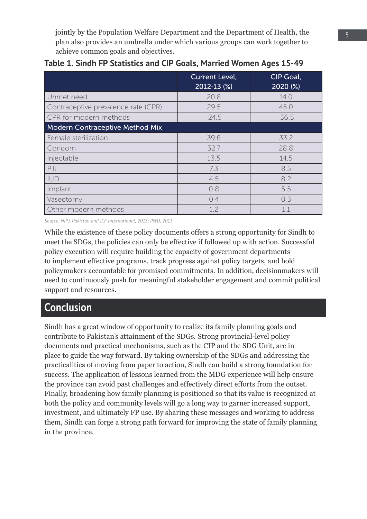jointly by the Population Welfare Department and the Department of Health, the plan also provides an umbrella under which various groups can work together to achieve common goals and objectives.

|                                        | <b>Current Level,</b><br>2012-13 (%) | CIP Goal,<br>2020 (%) |
|----------------------------------------|--------------------------------------|-----------------------|
| Unmet need                             | 20.8                                 | 14.0                  |
| Contraceptive prevalence rate (CPR)    | 29.5                                 | 45.0                  |
| CPR for modern methods                 | 24.5                                 | 36.5                  |
| <b>Modern Contraceptive Method Mix</b> |                                      |                       |
| Female sterilization                   | 39.6                                 | 33.2                  |
| Condom                                 | 32.7                                 | 28.8                  |
| Injectable                             | 13.5                                 | 14.5                  |
| Pill                                   | 7.3                                  | 8.5                   |
| <b>IUD</b>                             | 4.5                                  | 8.2                   |
| Implant                                | 0.8                                  | 5.5                   |
| Vasectomy                              | 0.4                                  | 0.3                   |
| Other modern methods                   | 1.2                                  | 11                    |

*Source: NIPS Pakistan and ICF International, 2013; PWD, 2015*

While the existence of these policy documents offers a strong opportunity for Sindh to meet the SDGs, the policies can only be effective if followed up with action. Successful policy execution will require building the capacity of government departments to implement effective programs, track progress against policy targets, and hold policymakers accountable for promised commitments. In addition, decisionmakers will need to continuously push for meaningful stakeholder engagement and commit political support and resources.

# Conclusion

Sindh has a great window of opportunity to realize its family planning goals and contribute to Pakistan's attainment of the SDGs. Strong provincial-level policy documents and practical mechanisms, such as the CIP and the SDG Unit, are in place to guide the way forward. By taking ownership of the SDGs and addressing the practicalities of moving from paper to action, Sindh can build a strong foundation for success. The application of lessons learned from the MDG experience will help ensure the province can avoid past challenges and effectively direct efforts from the outset. Finally, broadening how family planning is positioned so that its value is recognized at both the policy and community levels will go a long way to garner increased support, investment, and ultimately FP use. By sharing these messages and working to address them, Sindh can forge a strong path forward for improving the state of family planning in the province.